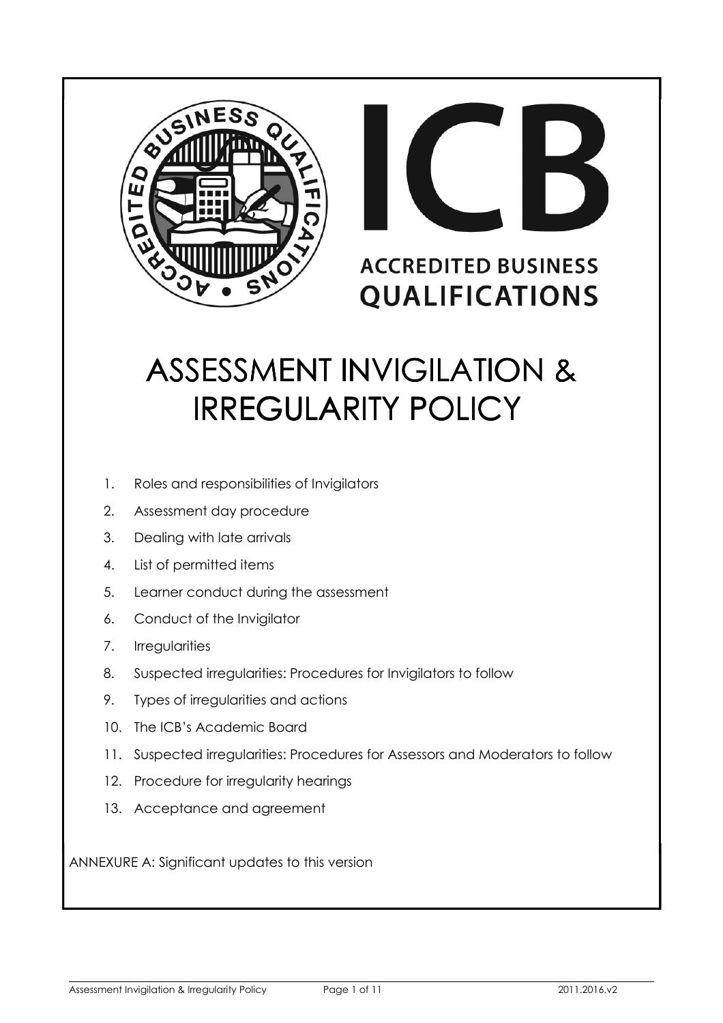



# **ACCREDITED BUSINESS QUALIFICATIONS**

# ASSESSMENT INVIGILATION & IRREGULARITY POLICY

- 1. Roles and responsibilities of Invigilators
- 2. Assessment day procedure
- 3. Dealing with late arrivals
- 4. List of permitted items
- 5. Learner conduct during the assessment
- 6. Conduct of the Invigilator
- 7. Irregularities
- 8. Suspected irregularities: Procedures for Invigilators to follow
- 9. Types of irregularities and actions
- 10. The ICB's Academic Board
- 11. Suspected irregularities: Procedures for Assessors and Moderators to follow
- 12. Procedure for irregularity hearings
- 13. Acceptance and agreement

ANNEXURE A: Significant updates to this version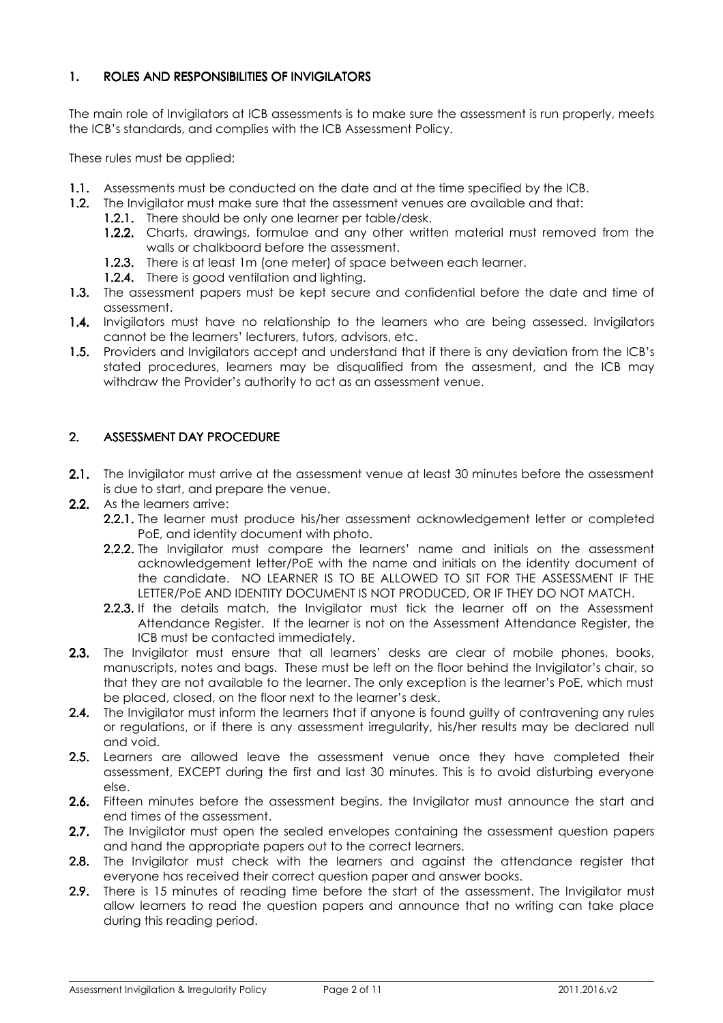# 1. ROLES AND RESPONSIBILITIES OF INVIGILATORS

The main role of Invigilators at ICB assessments is to make sure the assessment is run properly, meets the ICB's standards, and complies with the ICB Assessment Policy.

These rules must be applied:

- 1.1. Assessments must be conducted on the date and at the time specified by the ICB.
- 1.2. The Invigilator must make sure that the assessment venues are available and that:
	- 1.2.1. There should be only one learner per table/desk.
	- 1.2.2. Charts, drawings, formulae and any other written material must removed from the walls or chalkboard before the assessment.
	- 1.2.3. There is at least 1m (one meter) of space between each learner.
	- 1.2.4. There is good ventilation and lighting.
- 1.3. The assessment papers must be kept secure and confidential before the date and time of assessment.
- 1.4. Invigilators must have no relationship to the learners who are being assessed. Invigilators cannot be the learners' lecturers, tutors, advisors, etc.
- 1.5. Providers and Invigilators accept and understand that if there is any deviation from the ICB's stated procedures, learners may be disqualified from the assesment, and the ICB may withdraw the Provider's authority to act as an assessment venue.

# 2. ASSESSMENT DAY PROCEDURE

- 2.1. The Invigilator must arrive at the assessment venue at least 30 minutes before the assessment is due to start, and prepare the venue.
- 2.2. As the learners arrive:
	- 2.2.1. The learner must produce his/her assessment acknowledgement letter or completed PoE, and identity document with photo.
	- **2.2.2.** The Invigilator must compare the learners' name and initials on the assessment acknowledgement letter/PoE with the name and initials on the identity document of the candidate. NO LEARNER IS TO BE ALLOWED TO SIT FOR THE ASSESSMENT IF THE LETTER/PoE AND IDENTITY DOCUMENT IS NOT PRODUCED, OR IF THEY DO NOT MATCH.
	- 2.2.3. If the details match, the Invigilator must tick the learner off on the Assessment Attendance Register. If the learner is not on the Assessment Attendance Register, the ICB must be contacted immediately.
- 2.3. The Invigilator must ensure that all learners' desks are clear of mobile phones, books, manuscripts, notes and bags. These must be left on the floor behind the Invigilator's chair, so that they are not available to the learner. The only exception is the learner's PoE, which must be placed, closed, on the floor next to the learner's desk.
- 2.4. The Invigilator must inform the learners that if anyone is found guilty of contravening any rules or regulations, or if there is any assessment irregularity, his/her results may be declared null and void.
- 2.5. Learners are allowed leave the assessment venue once they have completed their assessment, EXCEPT during the first and last 30 minutes. This is to avoid disturbing everyone else.
- 2.6. Fifteen minutes before the assessment begins, the Invigilator must announce the start and end times of the assessment.
- 2.7. The Invigilator must open the sealed envelopes containing the assessment question papers and hand the appropriate papers out to the correct learners.
- 2.8. The Invigilator must check with the learners and against the attendance register that everyone has received their correct question paper and answer books.
- 2.9. There is 15 minutes of reading time before the start of the assessment. The Invigilator must allow learners to read the question papers and announce that no writing can take place during this reading period.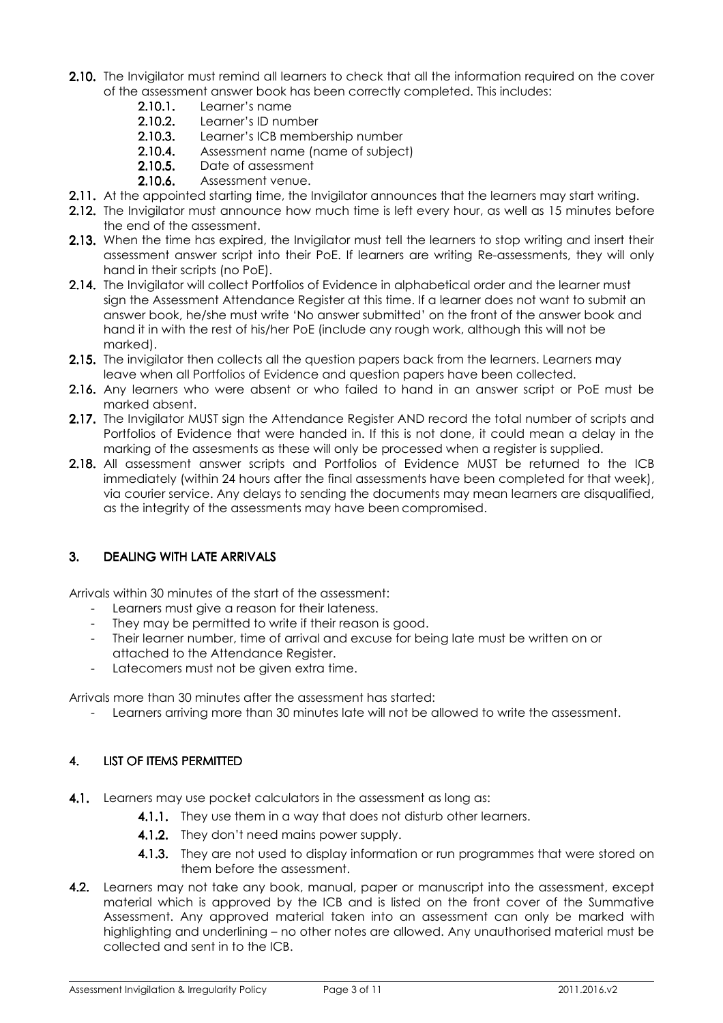- 2.10. The Invigilator must remind all learners to check that all the information required on the cover of the assessment answer book has been correctly completed. This includes:
	- $2.10.1.$  Learner's name
	- 2.10.2. Learner's ID number
	- 2.10.3. Learner's ICB membership number
	- 2.10.4. Assessment name (name of subject)
	- 2.10.5. Date of assessment
	- 2.10.6. Assessment venue.
- 2.11. At the appointed starting time, the Invigilator announces that the learners may start writing.
- 2.12. The Invigilator must announce how much time is left every hour, as well as 15 minutes before the end of the assessment.
- 2.13. When the time has expired, the Invigilator must tell the learners to stop writing and insert their assessment answer script into their PoE. If learners are writing Re-assessments, they will only hand in their scripts (no PoE).
- 2.14. The Invigilator will collect Portfolios of Evidence in alphabetical order and the learner must sign the Assessment Attendance Register at this time. If a learner does not want to submit an answer book, he/she must write 'No answer submitted' on the front of the answer book and hand it in with the rest of his/her PoE (include any rough work, although this will not be marked).
- 2.15. The invigilator then collects all the question papers back from the learners. Learners may leave when all Portfolios of Evidence and question papers have been collected.
- 2.16. Any learners who were absent or who failed to hand in an answer script or PoE must be marked absent.
- 2.17. The Invigilator MUST sign the Attendance Register AND record the total number of scripts and Portfolios of Evidence that were handed in. If this is not done, it could mean a delay in the marking of the assesments as these will only be processed when a register is supplied.
- 2.18. All assessment answer scripts and Portfolios of Evidence MUST be returned to the ICB immediately (within 24 hours after the final assessments have been completed for that week), via courier service. Any delays to sending the documents may mean learners are disqualified, as the integrity of the assessments may have been compromised.

# 3. DEALING WITH LATE ARRIVALS 3. DEALING WITH LATE ARRIVALS

Arrivals within 30 minutes of the start of the assessment:

- Learners must give a reason for their lateness.
- They may be permitted to write if their reason is good.
- Their learner number, time of arrival and excuse for being late must be written on or attached to the Attendance Register.
- Latecomers must not be given extra time.

Arrivals more than 30 minutes after the assessment has started:

- Learners arriving more than 30 minutes late will not be allowed to write the assessment.

# 4. LIST OF ITEMS PERMITTED

- 4.1. Learners may use pocket calculators in the assessment as long as:
	- 4.1.1. They use them in a way that does not disturb other learners.
	- 4.1.2. They don't need mains power supply.
	- 4.1.3. They are not used to display information or run programmes that were stored on them before the assessment.
- 4.2. Learners may not take any book, manual, paper or manuscript into the assessment, except material which is approved by the ICB and is listed on the front cover of the Summative Assessment. Any approved material taken into an assessment can only be marked with highlighting and underlining – no other notes are allowed. Any unauthorised material must be collected and sent in to the ICB.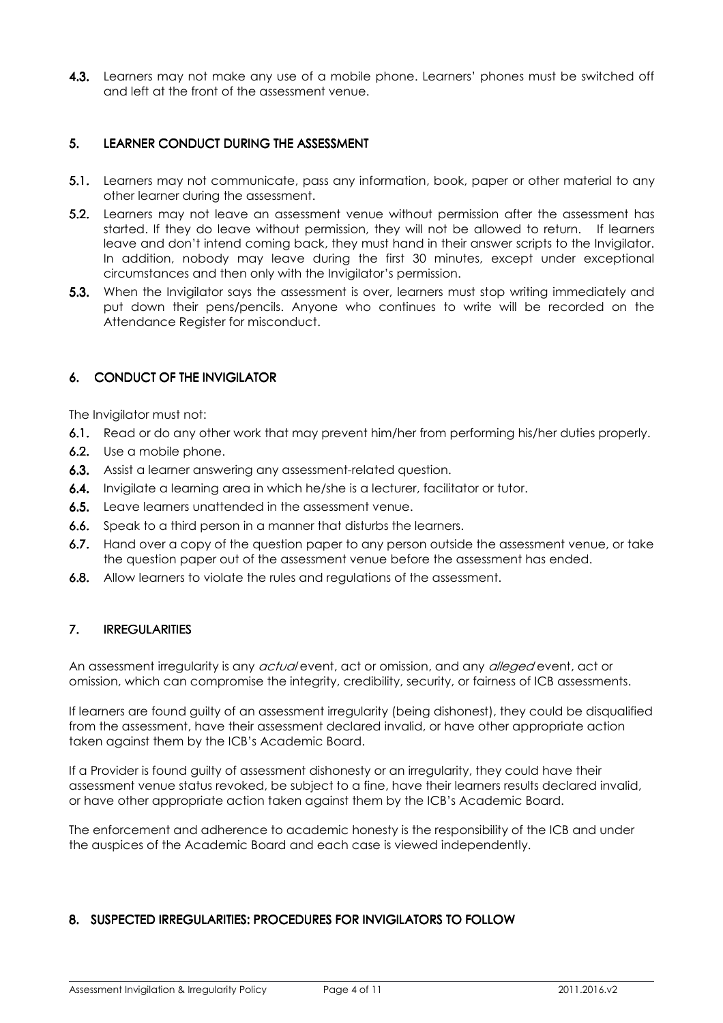4.3. Learners may not make any use of a mobile phone. Learners' phones must be switched off and left at the front of the assessment venue.

# 5. LEARNER CONDUCT DURING THE ASSESSMENT

- **5.1.** Learners may not communicate, pass any information, book, paper or other material to any other learner during the assessment.
- 5.2. Learners may not leave an assessment venue without permission after the assessment has started. If they do leave without permission, they will not be allowed to return. If learners leave and don't intend coming back, they must hand in their answer scripts to the Invigilator. In addition, nobody may leave during the first 30 minutes, except under exceptional circumstances and then only with the Invigilator's permission.
- 5.3. When the Invigilator says the assessment is over, learners must stop writing immediately and put down their pens/pencils. Anyone who continues to write will be recorded on the Attendance Register for misconduct.

# 6. CONDUCT OF THE INVIGILATOR 6. CONDUCT OF THE INVIGILATOR

The Invigilator must not:

- 6.1. Read or do any other work that may prevent him/her from performing his/her duties properly.
- 6.2. Use a mobile phone.
- 6.3. Assist a learner answering any assessment-related question.
- 6.4. Invigilate a learning area in which he/she is a lecturer, facilitator or tutor.
- 6.5. Leave learners unattended in the assessment venue.
- 6.6. Speak to a third person in a manner that disturbs the learners.
- 6.7. Hand over a copy of the question paper to any person outside the assessment venue, or take the question paper out of the assessment venue before the assessment has ended.
- 6.8. Allow learners to violate the rules and regulations of the assessment.

# 7. IRREGULARITIES 7.

An assessment irregularity is any *actual* event, act or omission, and any *alleged* event, act or omission, which can compromise the integrity, credibility, security, or fairness of ICB assessments.

If learners are found guilty of an assessment irregularity (being dishonest), they could be disqualified from the assessment, have their assessment declared invalid, or have other appropriate action taken against them by the ICB's Academic Board.

If a Provider is found guilty of assessment dishonesty or an irregularity, they could have their assessment venue status revoked, be subject to a fine, have their learners results declared invalid, or have other appropriate action taken against them by the ICB's Academic Board.

The enforcement and adherence to academic honesty is the responsibility of the ICB and under the auspices of the Academic Board and each case is viewed independently.

# 8. SUSPECTED IRREGULARITIES: PROCEDURES FOR INVIGILATORS TO FOLLOW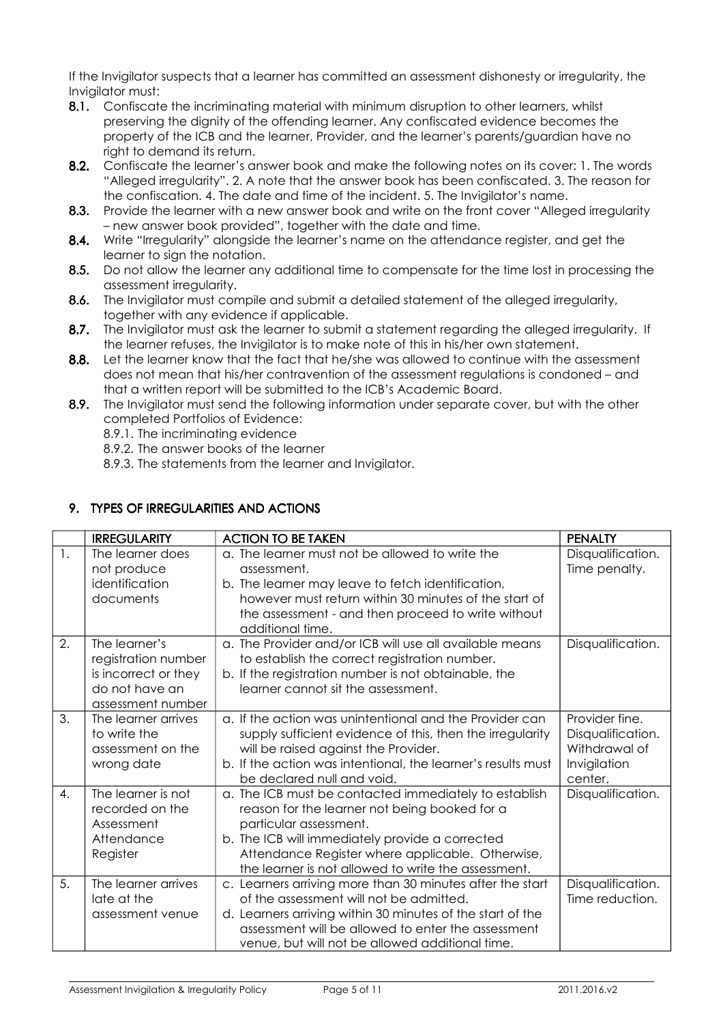If the Invigilator suspects that a learner has committed an assessment dishonesty or irregularity, the Invigilator must:

- 8.1. Confiscate the incriminating material with minimum disruption to other learners, whilst preserving the dignity of the offending learner. Any confiscated evidence becomes the property of the ICB and the learner, Provider, and the learner's parents/guardian have no right to demand its return.
- 8.2. Confiscate the learner's answer book and make the following notes on its cover: 1. The words "Alleged irregularity". 2. A note that the answer book has been confiscated. 3. The reason for the confiscation. 4. The date and time of the incident. 5. The Invigilator's name.
- 8.3. Provide the learner with a new answer book and write on the front cover "Alleged irregularity" – new answer book provided", together with the date and time.
- 8.4. Write "Irregularity" alongside the learner's name on the attendance register, and get the learner to sign the notation.
- 8.5. Do not allow the learner any additional time to compensate for the time lost in processing the assessment irregularity.
- 8.6. The Invigilator must compile and submit a detailed statement of the alleged irregularity, together with any evidence if applicable.
- 8.7. The Invigilator must ask the learner to submit a statement regarding the alleged irregularity. If the learner refuses, the Invigilator is to make note of this in his/her own statement.
- 8.8. Let the learner know that the fact that he/she was allowed to continue with the assessment does not mean that his/her contravention of the assessment regulations is condoned – and that a written report will be submitted to the ICB's Academic Board.
- 8.9. The Invigilator must send the following information under separate cover, but with the other completed Portfolios of Evidence:
	- 8.9.1. The incriminating evidence
	- 8.9.2. The answer books of the learner
	- 8.9.3. The statements from the learner and Invigilator.

# 9. TYPES OF IRREGULARITIES AND ACTIONS

|                | <b>IRREGULARITY</b>                                                                                 | <b>ACTION TO BE TAKEN</b>                                                                                                                                                                                                                                                                      | <b>PENALTY</b>                                                                  |
|----------------|-----------------------------------------------------------------------------------------------------|------------------------------------------------------------------------------------------------------------------------------------------------------------------------------------------------------------------------------------------------------------------------------------------------|---------------------------------------------------------------------------------|
| $\mathbf{1}$ . | The learner does<br>not produce<br>identification<br>documents                                      | a. The learner must not be allowed to write the<br>assessment.<br>b. The learner may leave to fetch identification,<br>however must return within 30 minutes of the start of<br>the assessment - and then proceed to write without<br>additional time.                                         | Disqualification.<br>Time penalty.                                              |
| 2.             | The learner's<br>registration number<br>is incorrect or they<br>do not have an<br>assessment number | a. The Provider and/or ICB will use all available means<br>to establish the correct registration number.<br>b. If the registration number is not obtainable, the<br>learner cannot sit the assessment.                                                                                         | Disqualification.                                                               |
| 3.             | The learner arrives<br>to write the<br>assessment on the<br>wrong date                              | a. If the action was unintentional and the Provider can<br>supply sufficient evidence of this, then the irregularity<br>will be raised against the Provider.<br>b. If the action was intentional, the learner's results must<br>be declared null and void.                                     | Provider fine.<br>Disqualification.<br>Withdrawal of<br>Invigilation<br>center. |
| 4.             | The learner is not<br>recorded on the<br>Assessment<br>Attendance<br>Register                       | a. The ICB must be contacted immediately to establish<br>reason for the learner not being booked for a<br>particular assessment.<br>b. The ICB will immediately provide a corrected<br>Attendance Register where applicable. Otherwise,<br>the learner is not allowed to write the assessment. | Disqualification.                                                               |
| 5.             | The learner arrives<br>late at the<br>assessment venue                                              | c. Learners arriving more than 30 minutes after the start<br>of the assessment will not be admitted.<br>d. Learners arriving within 30 minutes of the start of the<br>assessment will be allowed to enter the assessment<br>venue, but will not be allowed additional time.                    | Disqualification.<br>Time reduction.                                            |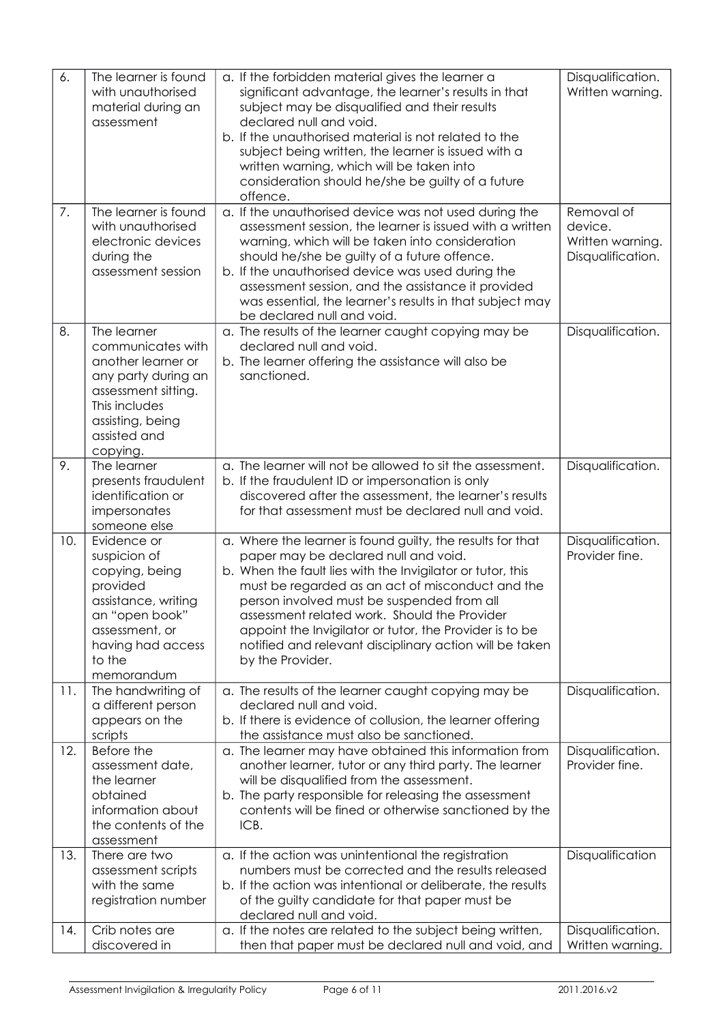| 6.  | The learner is found<br>with unauthorised<br>material during an<br>assessment                                                                                         | a. If the forbidden material gives the learner a<br>significant advantage, the learner's results in that<br>subject may be disqualified and their results<br>declared null and void.<br>b. If the unauthorised material is not related to the<br>subject being written, the learner is issued with a<br>written warning, which will be taken into<br>consideration should he/she be guilty of a future<br>offence.                                           | Disqualification.<br>Written warning.                          |
|-----|-----------------------------------------------------------------------------------------------------------------------------------------------------------------------|--------------------------------------------------------------------------------------------------------------------------------------------------------------------------------------------------------------------------------------------------------------------------------------------------------------------------------------------------------------------------------------------------------------------------------------------------------------|----------------------------------------------------------------|
| 7.  | The learner is found<br>with unauthorised<br>electronic devices<br>during the<br>assessment session                                                                   | a. If the unauthorised device was not used during the<br>assessment session, the learner is issued with a written<br>warning, which will be taken into consideration<br>should he/she be guilty of a future offence.<br>b. If the unauthorised device was used during the<br>assessment session, and the assistance it provided<br>was essential, the learner's results in that subject may<br>be declared null and void.                                    | Removal of<br>device.<br>Written warning.<br>Disqualification. |
| 8.  | The learner<br>communicates with<br>another learner or<br>any party during an<br>assessment sitting.<br>This includes<br>assisting, being<br>assisted and<br>copying. | a. The results of the learner caught copying may be<br>declared null and void.<br>b. The learner offering the assistance will also be<br>sanctioned.                                                                                                                                                                                                                                                                                                         | Disqualification.                                              |
| 9.  | The learner<br>presents fraudulent<br>identification or<br>impersonates<br>someone else                                                                               | a. The learner will not be allowed to sit the assessment.<br>b. If the fraudulent ID or impersonation is only<br>discovered after the assessment, the learner's results<br>for that assessment must be declared null and void.                                                                                                                                                                                                                               | Disqualification.                                              |
| 10. | Evidence or<br>suspicion of<br>copying, being<br>provided<br>assistance, writing<br>an "open book"<br>assessment, or<br>having had access<br>to the<br>memorandum     | a. Where the learner is found guilty, the results for that<br>paper may be declared null and void.<br>b. When the fault lies with the Invigilator or tutor, this<br>must be regarded as an act of misconduct and the<br>person involved must be suspended from all<br>assessment related work. Should the Provider<br>appoint the Invigilator or tutor, the Provider is to be<br>notified and relevant disciplinary action will be taken<br>by the Provider. | Disqualification.<br>Provider fine.                            |
| 11. | The handwriting of<br>a different person<br>appears on the<br>scripts                                                                                                 | a. The results of the learner caught copying may be<br>declared null and void.<br>b. If there is evidence of collusion, the learner offering<br>the assistance must also be sanctioned.                                                                                                                                                                                                                                                                      | Disqualification.                                              |
| 12. | Before the<br>assessment date,<br>the learner<br>obtained<br>information about<br>the contents of the<br>assessment                                                   | a. The learner may have obtained this information from<br>another learner, tutor or any third party. The learner<br>will be disqualified from the assessment.<br>b. The party responsible for releasing the assessment<br>contents will be fined or otherwise sanctioned by the<br>ICB.                                                                                                                                                                      | Disqualification.<br>Provider fine.                            |
| 13. | There are two<br>assessment scripts<br>with the same<br>registration number                                                                                           | a. If the action was unintentional the registration<br>numbers must be corrected and the results released<br>b. If the action was intentional or deliberate, the results<br>of the guilty candidate for that paper must be<br>declared null and void.                                                                                                                                                                                                        | Disqualification                                               |
| 14. | Crib notes are<br>discovered in                                                                                                                                       | a. If the notes are related to the subject being written,<br>then that paper must be declared null and void, and                                                                                                                                                                                                                                                                                                                                             | Disqualification.<br>Written warning.                          |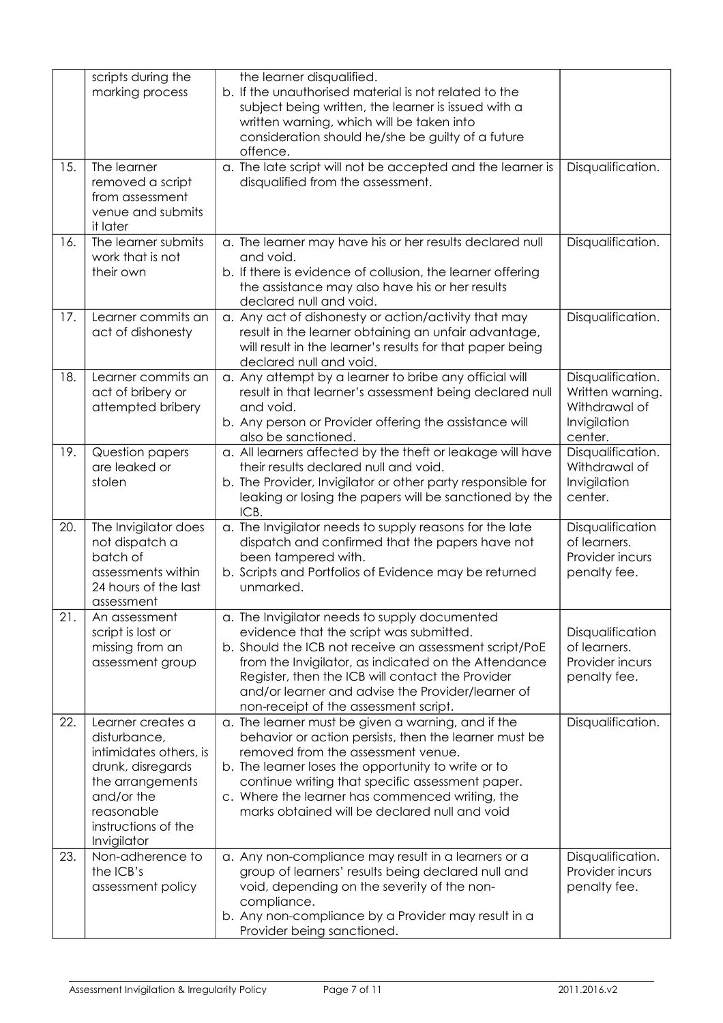| 15. | scripts during the<br>marking process<br>The learner                                                                                                                   | the learner disqualified.<br>b. If the unauthorised material is not related to the<br>subject being written, the learner is issued with a<br>written warning, which will be taken into<br>consideration should he/she be guilty of a future<br>offence.<br>a. The late script will not be accepted and the learner is                                            | Disqualification.                                                                 |
|-----|------------------------------------------------------------------------------------------------------------------------------------------------------------------------|------------------------------------------------------------------------------------------------------------------------------------------------------------------------------------------------------------------------------------------------------------------------------------------------------------------------------------------------------------------|-----------------------------------------------------------------------------------|
|     | removed a script<br>from assessment<br>venue and submits<br>it later                                                                                                   | disqualified from the assessment.                                                                                                                                                                                                                                                                                                                                |                                                                                   |
| 16. | The learner submits<br>work that is not<br>their own                                                                                                                   | a. The learner may have his or her results declared null<br>and void.<br>b. If there is evidence of collusion, the learner offering<br>the assistance may also have his or her results<br>declared null and void.                                                                                                                                                | Disqualification.                                                                 |
| 17. | Learner commits an<br>act of dishonesty                                                                                                                                | a. Any act of dishonesty or action/activity that may<br>result in the learner obtaining an unfair advantage,<br>will result in the learner's results for that paper being<br>declared null and void.                                                                                                                                                             | Disqualification.                                                                 |
| 18. | Learner commits an<br>act of bribery or<br>attempted bribery                                                                                                           | a. Any attempt by a learner to bribe any official will<br>result in that learner's assessment being declared null<br>and void.<br>b. Any person or Provider offering the assistance will<br>also be sanctioned.                                                                                                                                                  | Disqualification.<br>Written warning.<br>Withdrawal of<br>Invigilation<br>center. |
| 19. | Question papers<br>are leaked or<br>stolen                                                                                                                             | a. All learners affected by the theft or leakage will have<br>their results declared null and void.<br>b. The Provider, Invigilator or other party responsible for<br>leaking or losing the papers will be sanctioned by the<br>ICB.                                                                                                                             | Disqualification.<br>Withdrawal of<br>Invigilation<br>center.                     |
| 20. | The Invigilator does<br>not dispatch a<br>batch of<br>assessments within<br>24 hours of the last<br>assessment                                                         | a. The Invigilator needs to supply reasons for the late<br>dispatch and confirmed that the papers have not<br>been tampered with.<br>b. Scripts and Portfolios of Evidence may be returned<br>unmarked.                                                                                                                                                          | Disqualification<br>of learners.<br>Provider incurs<br>penalty fee.               |
| 21. | An assessment<br>script is lost or<br>missing from an<br>assessment group                                                                                              | a. The Invigilator needs to supply documented<br>evidence that the script was submitted.<br>b. Should the ICB not receive an assessment script/PoE<br>from the Invigilator, as indicated on the Attendance<br>Register, then the ICB will contact the Provider<br>and/or learner and advise the Provider/learner of<br>non-receipt of the assessment script.     | Disqualification<br>of learners.<br>Provider incurs<br>penalty fee.               |
| 22. | Learner creates a<br>disturbance,<br>intimidates others, is<br>drunk, disregards<br>the arrangements<br>and/or the<br>reasonable<br>instructions of the<br>Invigilator | a. The learner must be given a warning, and if the<br>behavior or action persists, then the learner must be<br>removed from the assessment venue.<br>b. The learner loses the opportunity to write or to<br>continue writing that specific assessment paper.<br>c. Where the learner has commenced writing, the<br>marks obtained will be declared null and void | Disqualification.                                                                 |
| 23. | Non-adherence to<br>the ICB's<br>assessment policy                                                                                                                     | a. Any non-compliance may result in a learners or a<br>group of learners' results being declared null and<br>void, depending on the severity of the non-<br>compliance.<br>b. Any non-compliance by a Provider may result in a<br>Provider being sanctioned.                                                                                                     | Disqualification.<br>Provider incurs<br>penalty fee.                              |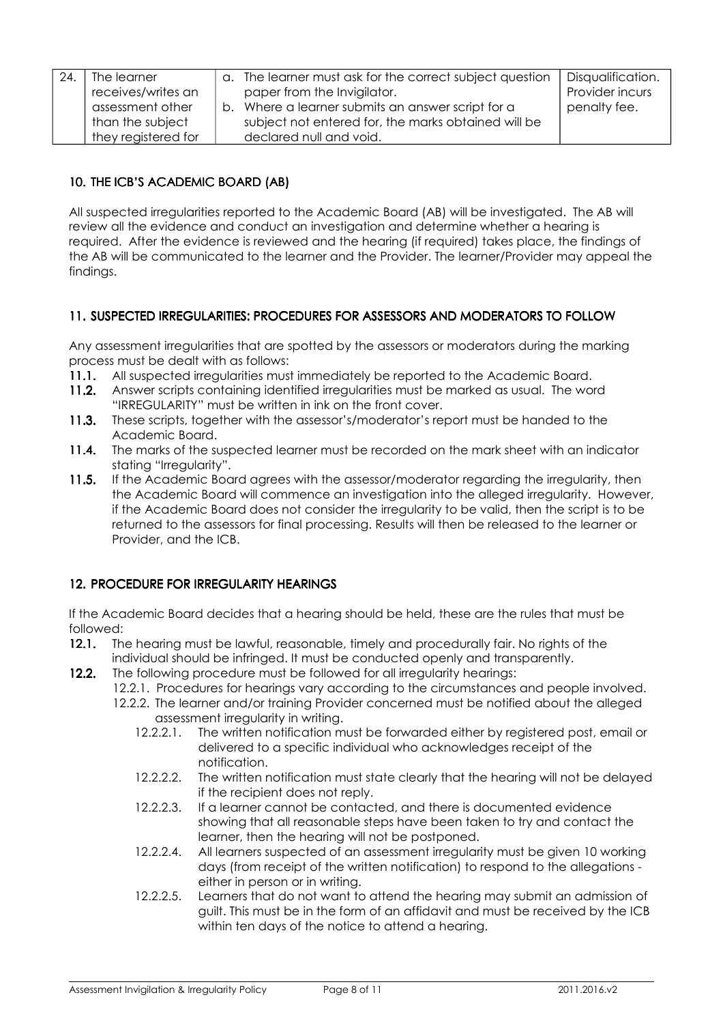| 24. | The learner         |  | a. The learner must ask for the correct subject question | Disqualification. |
|-----|---------------------|--|----------------------------------------------------------|-------------------|
|     | receives/writes an  |  | paper from the Invigilator.                              | Provider incurs   |
|     | assessment other    |  | b. Where a learner submits an answer script for a        | penalty fee.      |
|     | than the subject    |  | subject not entered for, the marks obtained will be      |                   |
|     | they registered for |  | declared null and void.                                  |                   |

# 10. THE ICB'S ACADEMIC BOARD (AB)

All suspected irregularities reported to the Academic Board (AB) will be investigated. The AB will review all the evidence and conduct an investigation and determine whether a hearing is required. After the evidence is reviewed and the hearing (if required) takes place, the findings of the AB will be communicated to the learner and the Provider. The learner/Provider may appeal the findings.

# 11. SUSPECTED IRREGULARITIES: PROCEDURES FOR ASSESSORS AND MODERATORS TO FOLLOW

Any assessment irregularities that are spotted by the assessors or moderators during the marking process must be dealt with as follows:

- 11.1. All suspected irregularities must immediately be reported to the Academic Board.
- 11.2. Answer scripts containing identified irregularities must be marked as usual. The word "IRREGULARITY" must be written in ink on the front cover.
- 11.3. These scripts, together with the assessor's/moderator's report must be handed to the Academic Board.
- 11.4. The marks of the suspected learner must be recorded on the mark sheet with an indicator stating "Irregularity".
- 11.5. If the Academic Board agrees with the assessor/moderator regarding the irregularity, then the Academic Board will commence an investigation into the alleged irregularity. However, if the Academic Board does not consider the irregularity to be valid, then the script is to be returned to the assessors for final processing. Results will then be released to the learner or Provider, and the ICB.

# 12. PROCEDURE FOR IRREGULARITY HEARINGS 12. PROCEDURE FOR IRREGULARITY HEARINGS

If the Academic Board decides that a hearing should be held, these are the rules that must be followed:

- 12.1. The hearing must be lawful, reasonable, timely and procedurally fair. No rights of the individual should be infringed. It must be conducted openly and transparently.
- 12.2. The following procedure must be followed for all irregularity hearings:
	- 12.2.1. Procedures for hearings vary according to the circumstances and people involved.
	- 12.2.2. The learner and/or training Provider concerned must be notified about the alleged assessment irregularity in writing.
		- 12.2.2.1. The written notification must be forwarded either by registered post, email or delivered to a specific individual who acknowledges receipt of the notification.
		- 12.2.2.2. The written notification must state clearly that the hearing will not be delayed if the recipient does not reply.
		- 12.2.2.3. If a learner cannot be contacted, and there is documented evidence showing that all reasonable steps have been taken to try and contact the learner, then the hearing will not be postponed.
		- 12.2.2.4. All learners suspected of an assessment irregularity must be given 10 working days (from receipt of the written notification) to respond to the allegations either in person or in writing.
		- 12.2.2.5. Learners that do not want to attend the hearing may submit an admission of guilt. This must be in the form of an affidavit and must be received by the ICB within ten days of the notice to attend a hearing.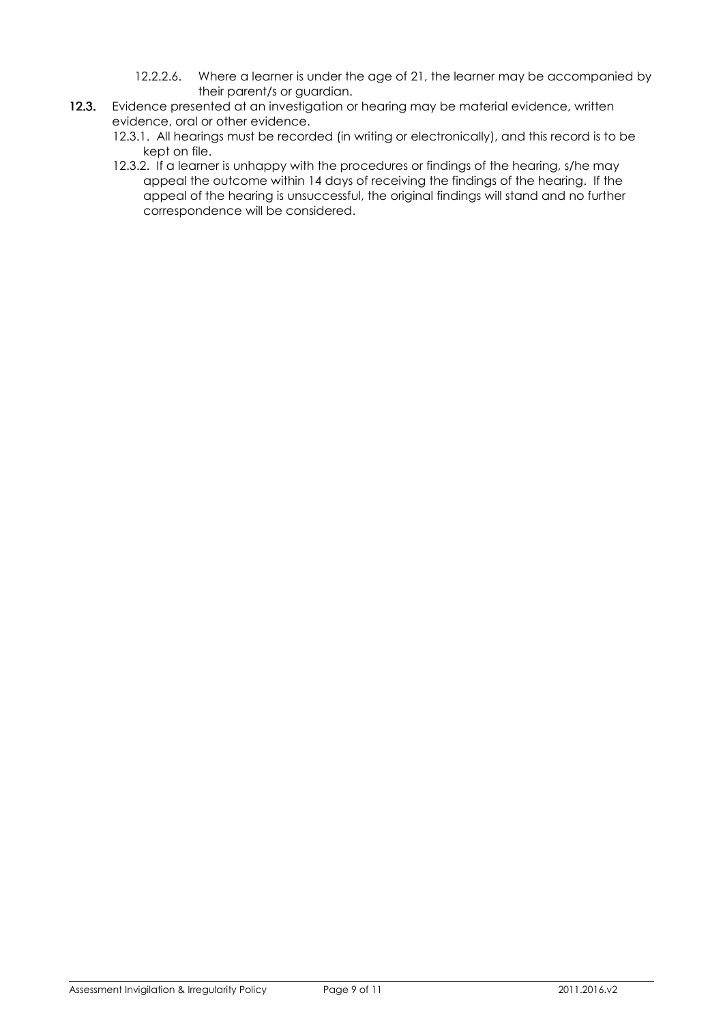- 12.2.2.6. Where a learner is under the age of 21, the learner may be accompanied by their parent/s or guardian.
- 12.3. Evidence presented at an investigation or hearing may be material evidence, written evidence, oral or other evidence.
	- 12.3.1. All hearings must be recorded (in writing or electronically), and this record is to be kept on file.
	- 12.3.2. If a learner is unhappy with the procedures or findings of the hearing, s/he may appeal the outcome within 14 days of receiving the findings of the hearing. If the appeal of the hearing is unsuccessful, the original findings will stand and no further correspondence will be considered.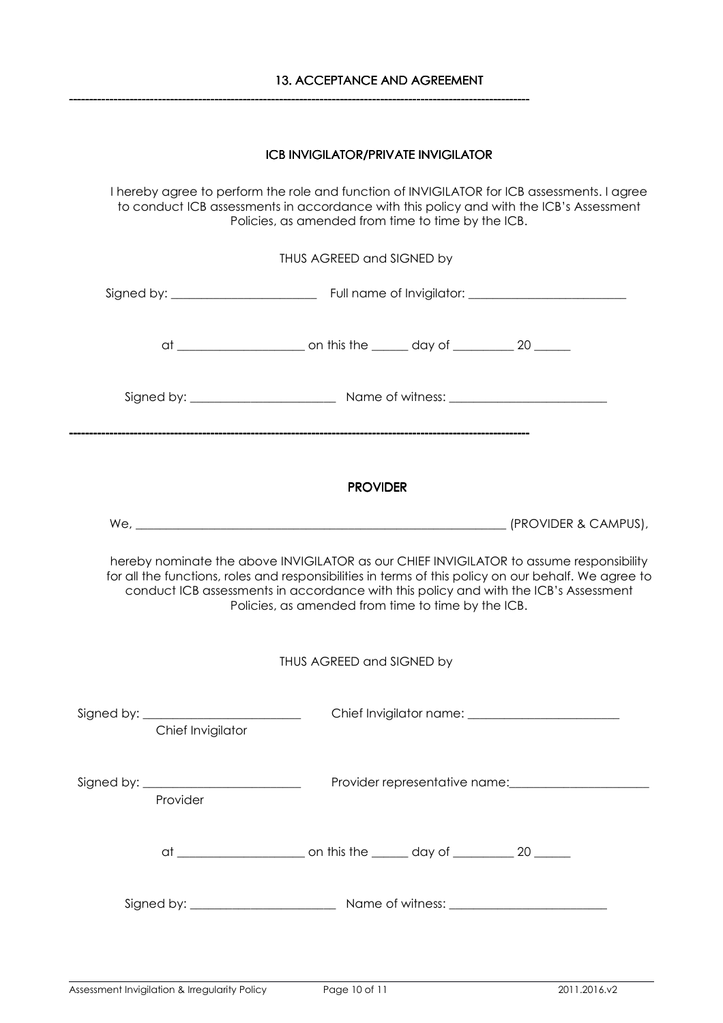------------------------------------------------------------------------------------------------------------------

# ICB INVIGILATOR/PRIVATE INVIGILATOR

I hereby agree to perform the role and function of INVIGILATOR for ICB assessments. I agree to conduct ICB assessments in accordance with this policy and with the ICB's Assessment Policies, as amended from time to time by the ICB.

| THUS AGREED and SIGNED by                                                                                                                                                                                                                                                                                                                     |                   |  |                                          |  |  |
|-----------------------------------------------------------------------------------------------------------------------------------------------------------------------------------------------------------------------------------------------------------------------------------------------------------------------------------------------|-------------------|--|------------------------------------------|--|--|
|                                                                                                                                                                                                                                                                                                                                               |                   |  |                                          |  |  |
|                                                                                                                                                                                                                                                                                                                                               |                   |  |                                          |  |  |
|                                                                                                                                                                                                                                                                                                                                               |                   |  |                                          |  |  |
| <b>PROVIDER</b>                                                                                                                                                                                                                                                                                                                               |                   |  |                                          |  |  |
|                                                                                                                                                                                                                                                                                                                                               |                   |  |                                          |  |  |
| hereby nominate the above INVIGILATOR as our CHIEF INVIGILATOR to assume responsibility<br>for all the functions, roles and responsibilities in terms of this policy on our behalf. We agree to<br>conduct ICB assessments in accordance with this policy and with the ICB's Assessment<br>Policies, as amended from time to time by the ICB. |                   |  |                                          |  |  |
| THUS AGREED and SIGNED by                                                                                                                                                                                                                                                                                                                     |                   |  |                                          |  |  |
|                                                                                                                                                                                                                                                                                                                                               | Chief Invigilator |  |                                          |  |  |
| Signed by: _<br>Provider                                                                                                                                                                                                                                                                                                                      |                   |  | Provider representative name: __________ |  |  |
|                                                                                                                                                                                                                                                                                                                                               |                   |  |                                          |  |  |

Signed by: \_\_\_\_\_\_\_\_\_\_\_\_\_\_\_\_\_\_\_\_\_\_\_\_ Name of witness: \_\_\_\_\_\_\_\_\_\_\_\_\_\_\_\_\_\_\_\_\_\_\_\_\_\_